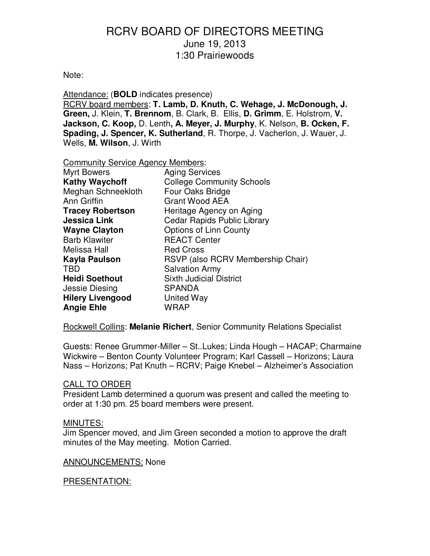#### Note:

Attendance: (**BOLD** indicates presence)

RCRV board members: **T. Lamb, D. Knuth, C. Wehage, J. McDonough, J. Green,** J. Klein, **T. Brennom**, B. Clark, B. Ellis, **D. Grimm**, E. Holstrom, **V. Jackson, C. Koop,** D. Lenth**, A. Meyer, J. Murphy**, K. Nelson, **B. Ocken, F. Spading, J. Spencer, K. Sutherland**, R. Thorpe, J. Vacherlon, J. Wauer, J. Wells, **M. Wilson**, J. Wirth

Community Service Agency Members:

| <b>Myrt Bowers</b>      | <b>Aging Services</b>              |  |
|-------------------------|------------------------------------|--|
|                         |                                    |  |
| <b>Kathy Waychoff</b>   | <b>College Community Schools</b>   |  |
| Meghan Schneekloth      | Four Oaks Bridge                   |  |
| Ann Griffin             | <b>Grant Wood AEA</b>              |  |
| <b>Tracey Robertson</b> | Heritage Agency on Aging           |  |
| <b>Jessica Link</b>     | <b>Cedar Rapids Public Library</b> |  |
| <b>Wayne Clayton</b>    | Options of Linn County             |  |
| <b>Barb Klawiter</b>    | <b>REACT Center</b>                |  |
| Melissa Hall            | <b>Red Cross</b>                   |  |
| Kayla Paulson           | RSVP (also RCRV Membership Chair)  |  |
| <b>TBD</b>              | <b>Salvation Army</b>              |  |
| <b>Heidi Soethout</b>   | <b>Sixth Judicial District</b>     |  |
| Jessie Diesing          | <b>SPANDA</b>                      |  |
| <b>Hilery Livengood</b> | United Way                         |  |
| <b>Angie Ehle</b>       | WRAP                               |  |

Rockwell Collins: **Melanie Richert**, Senior Community Relations Specialist

Guests: Renee Grummer-Miller – St..Lukes; Linda Hough – HACAP; Charmaine Wickwire – Benton County Volunteer Program; Karl Cassell – Horizons; Laura Nass – Horizons; Pat Knuth – RCRV; Paige Knebel – Alzheimer's Association

### CALL TO ORDER

President Lamb determined a quorum was present and called the meeting to order at 1:30 pm. 25 board members were present.

#### MINUTES:

Jim Spencer moved, and Jim Green seconded a motion to approve the draft minutes of the May meeting. Motion Carried.

#### ANNOUNCEMENTS: None

### PRESENTATION: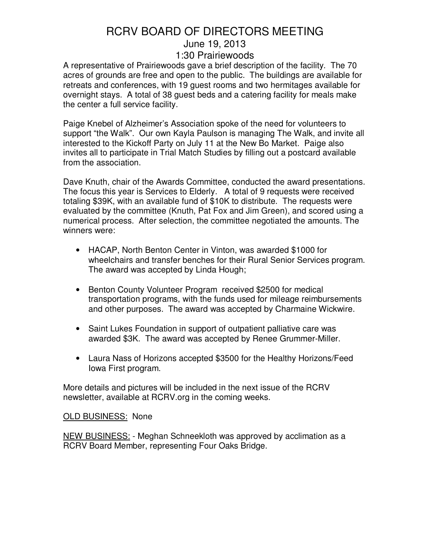A representative of Prairiewoods gave a brief description of the facility. The 70 acres of grounds are free and open to the public. The buildings are available for retreats and conferences, with 19 guest rooms and two hermitages available for overnight stays. A total of 38 guest beds and a catering facility for meals make the center a full service facility.

Paige Knebel of Alzheimer's Association spoke of the need for volunteers to support "the Walk". Our own Kayla Paulson is managing The Walk, and invite all interested to the Kickoff Party on July 11 at the New Bo Market. Paige also invites all to participate in Trial Match Studies by filling out a postcard available from the association.

Dave Knuth, chair of the Awards Committee, conducted the award presentations. The focus this year is Services to Elderly. A total of 9 requests were received totaling \$39K, with an available fund of \$10K to distribute. The requests were evaluated by the committee (Knuth, Pat Fox and Jim Green), and scored using a numerical process. After selection, the committee negotiated the amounts. The winners were:

- HACAP, North Benton Center in Vinton, was awarded \$1000 for wheelchairs and transfer benches for their Rural Senior Services program. The award was accepted by Linda Hough;
- Benton County Volunteer Program received \$2500 for medical transportation programs, with the funds used for mileage reimbursements and other purposes. The award was accepted by Charmaine Wickwire.
- Saint Lukes Foundation in support of outpatient palliative care was awarded \$3K. The award was accepted by Renee Grummer-Miller.
- Laura Nass of Horizons accepted \$3500 for the Healthy Horizons/Feed Iowa First program.

More details and pictures will be included in the next issue of the RCRV newsletter, available at RCRV.org in the coming weeks.

### OLD BUSINESS: None

NEW BUSINESS: - Meghan Schneekloth was approved by acclimation as a RCRV Board Member, representing Four Oaks Bridge.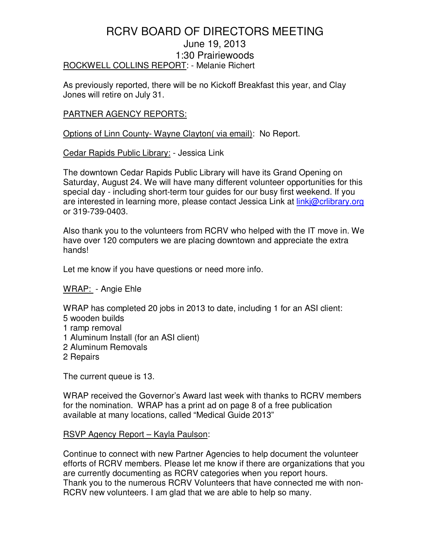## RCRV BOARD OF DIRECTORS MEETING June 19, 2013 1:30 Prairiewoods ROCKWELL COLLINS REPORT: - Melanie Richert

As previously reported, there will be no Kickoff Breakfast this year, and Clay Jones will retire on July 31.

### PARTNER AGENCY REPORTS:

Options of Linn County- Wayne Clayton( via email): No Report.

Cedar Rapids Public Library: - Jessica Link

The downtown Cedar Rapids Public Library will have its Grand Opening on Saturday, August 24. We will have many different volunteer opportunities for this special day - including short-term tour guides for our busy first weekend. If you are interested in learning more, please contact Jessica Link at linkj@crlibrary.org or 319-739-0403.

Also thank you to the volunteers from RCRV who helped with the IT move in. We have over 120 computers we are placing downtown and appreciate the extra hands!

Let me know if you have questions or need more info.

### WRAP: - Angie Ehle

WRAP has completed 20 jobs in 2013 to date, including 1 for an ASI client:

- 5 wooden builds
- 1 ramp removal
- 1 Aluminum Install (for an ASI client)
- 2 Aluminum Removals
- 2 Repairs

The current queue is 13.

WRAP received the Governor's Award last week with thanks to RCRV members for the nomination. WRAP has a print ad on page 8 of a free publication available at many locations, called "Medical Guide 2013"

#### RSVP Agency Report – Kayla Paulson:

Continue to connect with new Partner Agencies to help document the volunteer efforts of RCRV members. Please let me know if there are organizations that you are currently documenting as RCRV categories when you report hours. Thank you to the numerous RCRV Volunteers that have connected me with non-RCRV new volunteers. I am glad that we are able to help so many.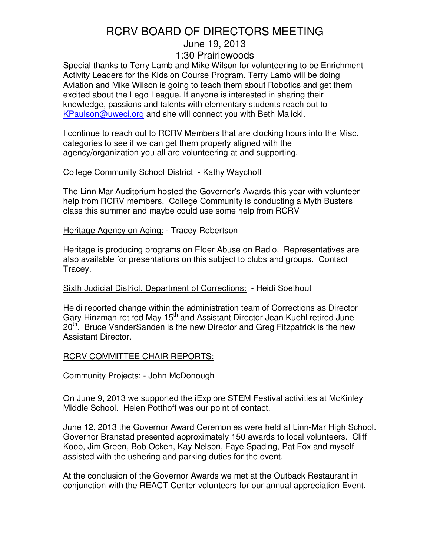Special thanks to Terry Lamb and Mike Wilson for volunteering to be Enrichment Activity Leaders for the Kids on Course Program. Terry Lamb will be doing Aviation and Mike Wilson is going to teach them about Robotics and get them excited about the Lego League. If anyone is interested in sharing their knowledge, passions and talents with elementary students reach out to KPaulson@uweci.org and she will connect you with Beth Malicki.

I continue to reach out to RCRV Members that are clocking hours into the Misc. categories to see if we can get them properly aligned with the agency/organization you all are volunteering at and supporting.

#### College Community School District - Kathy Waychoff

The Linn Mar Auditorium hosted the Governor's Awards this year with volunteer help from RCRV members. College Community is conducting a Myth Busters class this summer and maybe could use some help from RCRV

Heritage Agency on Aging: - Tracey Robertson

Heritage is producing programs on Elder Abuse on Radio. Representatives are also available for presentations on this subject to clubs and groups. Contact Tracey.

### Sixth Judicial District, Department of Corrections: - Heidi Soethout

Heidi reported change within the administration team of Corrections as Director Gary Hinzman retired May 15<sup>th</sup> and Assistant Director Jean Kuehl retired June 20<sup>th</sup>. Bruce VanderSanden is the new Director and Greg Fitzpatrick is the new Assistant Director.

### RCRV COMMITTEE CHAIR REPORTS:

Community Projects: - John McDonough

On June 9, 2013 we supported the iExplore STEM Festival activities at McKinley Middle School. Helen Potthoff was our point of contact.

June 12, 2013 the Governor Award Ceremonies were held at Linn-Mar High School. Governor Branstad presented approximately 150 awards to local volunteers. Cliff Koop, Jim Green, Bob Ocken, Kay Nelson, Faye Spading, Pat Fox and myself assisted with the ushering and parking duties for the event.

At the conclusion of the Governor Awards we met at the Outback Restaurant in conjunction with the REACT Center volunteers for our annual appreciation Event.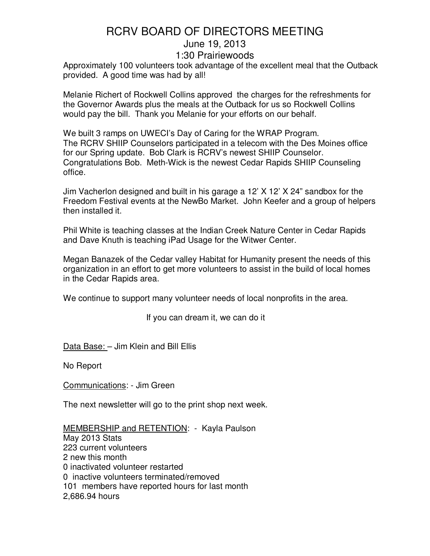Approximately 100 volunteers took advantage of the excellent meal that the Outback provided. A good time was had by all!

Melanie Richert of Rockwell Collins approved the charges for the refreshments for the Governor Awards plus the meals at the Outback for us so Rockwell Collins would pay the bill. Thank you Melanie for your efforts on our behalf.

We built 3 ramps on UWECI's Day of Caring for the WRAP Program. The RCRV SHIIP Counselors participated in a telecom with the Des Moines office for our Spring update. Bob Clark is RCRV's newest SHIIP Counselor. Congratulations Bob. Meth-Wick is the newest Cedar Rapids SHIIP Counseling office.

Jim Vacherlon designed and built in his garage a 12' X 12' X 24" sandbox for the Freedom Festival events at the NewBo Market. John Keefer and a group of helpers then installed it.

Phil White is teaching classes at the Indian Creek Nature Center in Cedar Rapids and Dave Knuth is teaching iPad Usage for the Witwer Center.

Megan Banazek of the Cedar valley Habitat for Humanity present the needs of this organization in an effort to get more volunteers to assist in the build of local homes in the Cedar Rapids area.

We continue to support many volunteer needs of local nonprofits in the area.

If you can dream it, we can do it

Data Base: – Jim Klein and Bill Ellis

No Report

Communications: - Jim Green

The next newsletter will go to the print shop next week.

MEMBERSHIP and RETENTION: - Kayla Paulson May 2013 Stats 223 current volunteers 2 new this month 0 inactivated volunteer restarted 0 inactive volunteers terminated/removed 101 members have reported hours for last month 2,686.94 hours